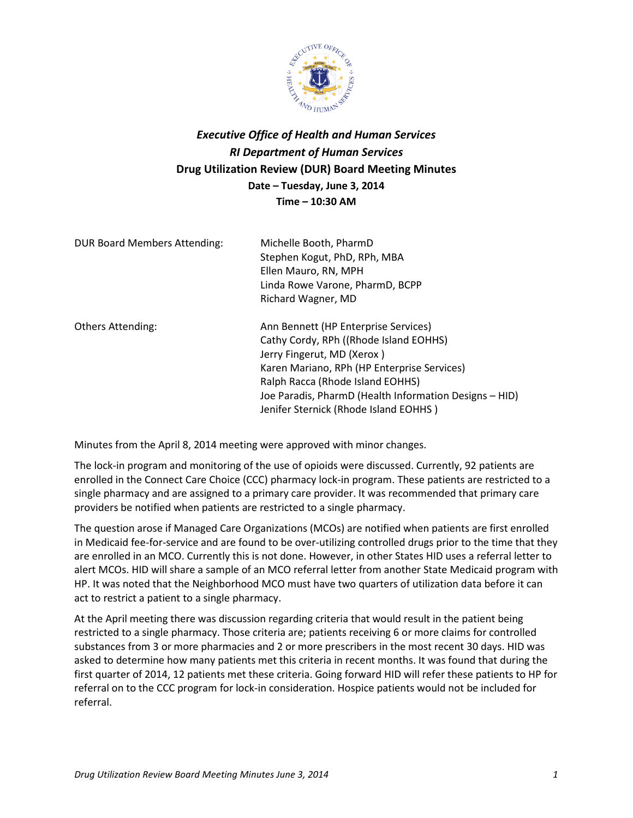

## *Executive Office of Health and Human Services RI Department of Human Services* **Drug Utilization Review (DUR) Board Meeting Minutes Date – Tuesday, June 3, 2014 Time – 10:30 AM**

| <b>DUR Board Members Attending:</b> | Michelle Booth, PharmD<br>Stephen Kogut, PhD, RPh, MBA<br>Ellen Mauro, RN, MPH<br>Linda Rowe Varone, PharmD, BCPP<br>Richard Wagner, MD                                                                                                                                                            |
|-------------------------------------|----------------------------------------------------------------------------------------------------------------------------------------------------------------------------------------------------------------------------------------------------------------------------------------------------|
| <b>Others Attending:</b>            | Ann Bennett (HP Enterprise Services)<br>Cathy Cordy, RPh ((Rhode Island EOHHS)<br>Jerry Fingerut, MD (Xerox)<br>Karen Mariano, RPh (HP Enterprise Services)<br>Ralph Racca (Rhode Island EOHHS)<br>Joe Paradis, PharmD (Health Information Designs – HID)<br>Jenifer Sternick (Rhode Island EOHHS) |

Minutes from the April 8, 2014 meeting were approved with minor changes.

The lock-in program and monitoring of the use of opioids were discussed. Currently, 92 patients are enrolled in the Connect Care Choice (CCC) pharmacy lock-in program. These patients are restricted to a single pharmacy and are assigned to a primary care provider. It was recommended that primary care providers be notified when patients are restricted to a single pharmacy.

The question arose if Managed Care Organizations (MCOs) are notified when patients are first enrolled in Medicaid fee-for-service and are found to be over-utilizing controlled drugs prior to the time that they are enrolled in an MCO. Currently this is not done. However, in other States HID uses a referral letter to alert MCOs. HID will share a sample of an MCO referral letter from another State Medicaid program with HP. It was noted that the Neighborhood MCO must have two quarters of utilization data before it can act to restrict a patient to a single pharmacy.

At the April meeting there was discussion regarding criteria that would result in the patient being restricted to a single pharmacy. Those criteria are; patients receiving 6 or more claims for controlled substances from 3 or more pharmacies and 2 or more prescribers in the most recent 30 days. HID was asked to determine how many patients met this criteria in recent months. It was found that during the first quarter of 2014, 12 patients met these criteria. Going forward HID will refer these patients to HP for referral on to the CCC program for lock-in consideration. Hospice patients would not be included for referral.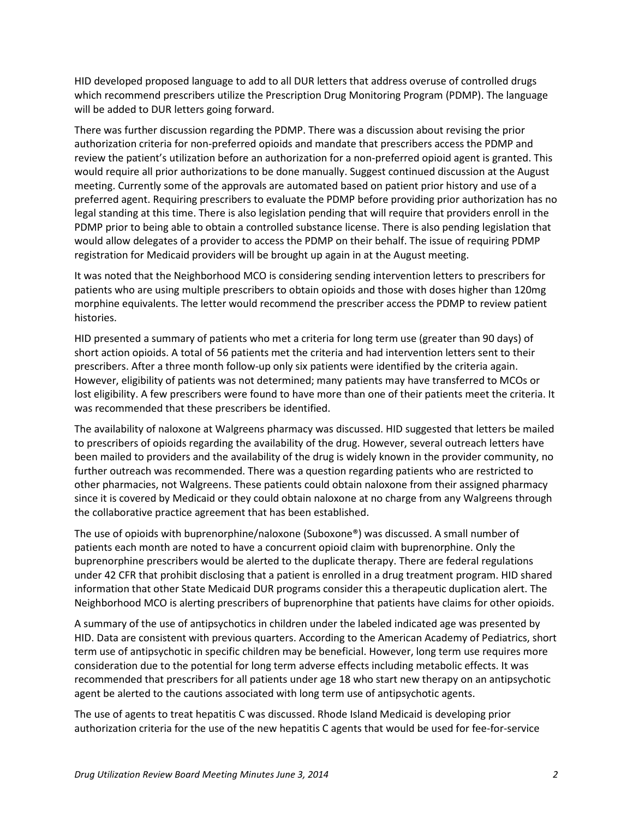HID developed proposed language to add to all DUR letters that address overuse of controlled drugs which recommend prescribers utilize the Prescription Drug Monitoring Program (PDMP). The language will be added to DUR letters going forward.

There was further discussion regarding the PDMP. There was a discussion about revising the prior authorization criteria for non-preferred opioids and mandate that prescribers access the PDMP and review the patient's utilization before an authorization for a non-preferred opioid agent is granted. This would require all prior authorizations to be done manually. Suggest continued discussion at the August meeting. Currently some of the approvals are automated based on patient prior history and use of a preferred agent. Requiring prescribers to evaluate the PDMP before providing prior authorization has no legal standing at this time. There is also legislation pending that will require that providers enroll in the PDMP prior to being able to obtain a controlled substance license. There is also pending legislation that would allow delegates of a provider to access the PDMP on their behalf. The issue of requiring PDMP registration for Medicaid providers will be brought up again in at the August meeting.

It was noted that the Neighborhood MCO is considering sending intervention letters to prescribers for patients who are using multiple prescribers to obtain opioids and those with doses higher than 120mg morphine equivalents. The letter would recommend the prescriber access the PDMP to review patient histories.

HID presented a summary of patients who met a criteria for long term use (greater than 90 days) of short action opioids. A total of 56 patients met the criteria and had intervention letters sent to their prescribers. After a three month follow-up only six patients were identified by the criteria again. However, eligibility of patients was not determined; many patients may have transferred to MCOs or lost eligibility. A few prescribers were found to have more than one of their patients meet the criteria. It was recommended that these prescribers be identified.

The availability of naloxone at Walgreens pharmacy was discussed. HID suggested that letters be mailed to prescribers of opioids regarding the availability of the drug. However, several outreach letters have been mailed to providers and the availability of the drug is widely known in the provider community, no further outreach was recommended. There was a question regarding patients who are restricted to other pharmacies, not Walgreens. These patients could obtain naloxone from their assigned pharmacy since it is covered by Medicaid or they could obtain naloxone at no charge from any Walgreens through the collaborative practice agreement that has been established.

The use of opioids with buprenorphine/naloxone (Suboxone®) was discussed. A small number of patients each month are noted to have a concurrent opioid claim with buprenorphine. Only the buprenorphine prescribers would be alerted to the duplicate therapy. There are federal regulations under 42 CFR that prohibit disclosing that a patient is enrolled in a drug treatment program. HID shared information that other State Medicaid DUR programs consider this a therapeutic duplication alert. The Neighborhood MCO is alerting prescribers of buprenorphine that patients have claims for other opioids.

A summary of the use of antipsychotics in children under the labeled indicated age was presented by HID. Data are consistent with previous quarters. According to the American Academy of Pediatrics, short term use of antipsychotic in specific children may be beneficial. However, long term use requires more consideration due to the potential for long term adverse effects including metabolic effects. It was recommended that prescribers for all patients under age 18 who start new therapy on an antipsychotic agent be alerted to the cautions associated with long term use of antipsychotic agents.

The use of agents to treat hepatitis C was discussed. Rhode Island Medicaid is developing prior authorization criteria for the use of the new hepatitis C agents that would be used for fee-for-service